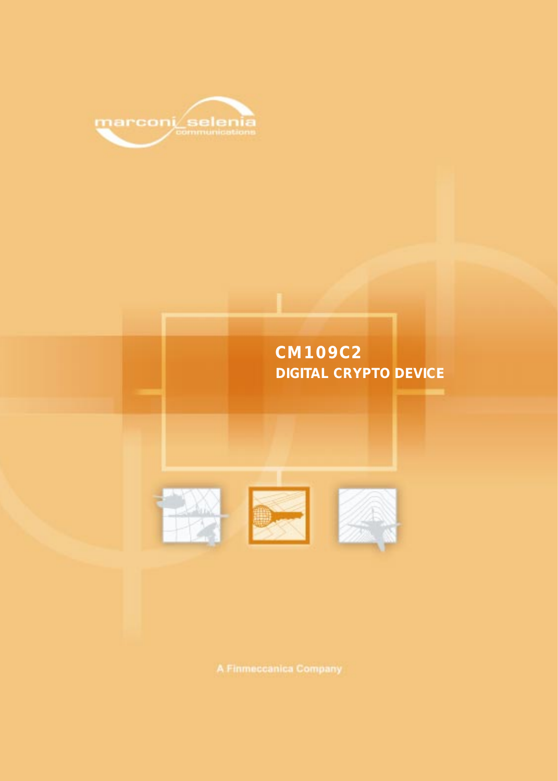

# **CM109C2 DIGITAL CRYPTO DEVICE**





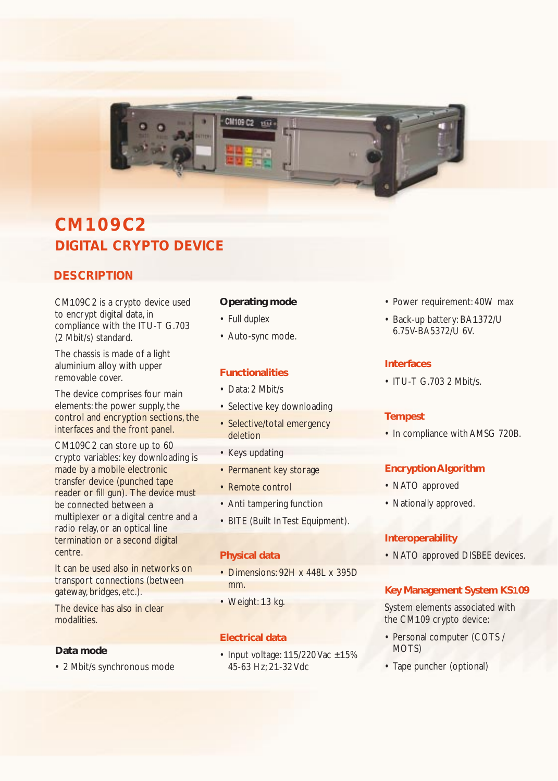

## **CM109C2 DIGITAL CRYPTO DEVICE**

### **DESCRIPTION**

CM109C2 is a crypto device used to encrypt digital data, in compliance with the ITU-T G.703 (2 Mbit/s) standard.

The chassis is made of a light aluminium alloy with upper removable cover.

The device comprises four main elements: the power supply, the control and encryption sections, the interfaces and the front panel.

CM109C2 can store up to 60 crypto variables: key downloading is made by a mobile electronic transfer device (punched tape reader or fill gun). The device must be connected between a multiplexer or a digital centre and a radio relay, or an optical line termination or a second digital centre.

It can be used also in networks on transport connections (between gateway, bridges, etc.).

The device has also in clear modalities.

#### **Data mode**

• 2 Mbit/s synchronous mode

#### **Operating mode**

- Full duplex
- Auto-sync mode.

### **Functionalities**

- Data: 2 Mbit/s
- Selective key downloading
- Selective/total emergency deletion
- Keys updating
- Permanent key storage
- Remote control
- Anti tampering function
- BITE (Built In Test Equipment).

#### **Physical data**

- Dimensions: 92H x 448L x 395D mm.
- Weight: 13 kg.

#### **Electrical data**

• Input voltage:  $115/220$  Vac  $\pm 15%$ 45-63 Hz; 21-32 Vdc

- Power requirement: 40W max
- Back-up battery: BA1372/U 6.75V-BA5372/U 6V.

#### **Interfaces**

• ITU-T G.703 2 Mbit/s.

#### **Tempest**

• In compliance with AMSG 720B.

### **Encryption Algorithm**

- NATO approved
- Nationally approved.

#### **Interoperability**

• NATO approved DISBEE devices.

#### **Key Management System KS109**

System elements associated with the CM109 crypto device:

- Personal computer (COTS / MOTS)
- Tape puncher (optional)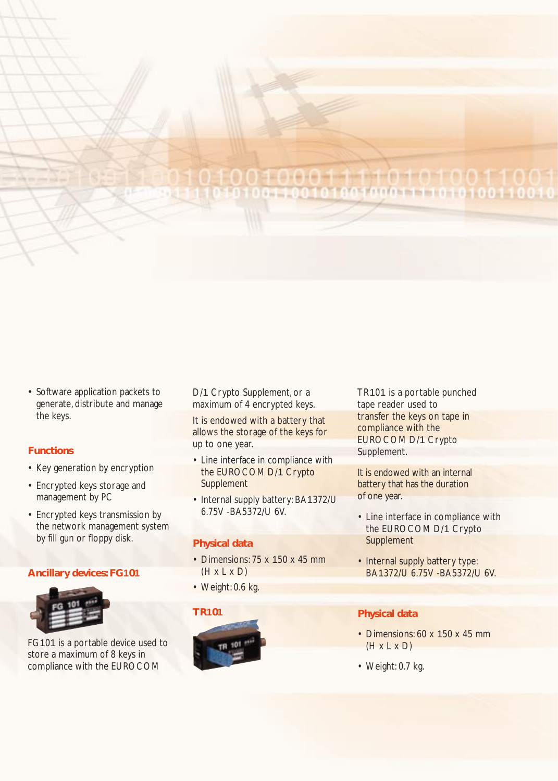## **Ore Administration of the Administration** 010010001111010100110010

• Software application packets to generate, distribute and manage the keys.

#### **Functions**

- Key generation by encryption
- Encrypted keys storage and management by PC
- Encrypted keys transmission by the network management system by fill gun or floppy disk.

#### **Ancillary devices: FG101**



FG101 is a portable device used to store a maximum of 8 keys in compliance with the EUROCOM

D/1 Crypto Supplement, or a maximum of 4 encrypted keys.

It is endowed with a battery that allows the storage of the keys for up to one year.

- Line interface in compliance with the EUROCOM D/1 Crypto **Supplement**
- Internal supply battery: BA1372/U 6.75V -BA5372/U 6V.

#### **Physical data**

- Dimensions: 75 x 150 x 45 mm  $(H \times L \times D)$
- Weight: 0.6 kg.



TR101 is a portable punched tape reader used to transfer the keys on tape in compliance with the EUROCOM D/1 Crypto Supplement.

It is endowed with an internal battery that has the duration of one year.

- Line interface in compliance with the EUROCOM D/1 Crypto **Supplement**
- Internal supply battery type: BA1372/U 6.75V -BA5372/U 6V.

#### **Physical data**

- Dimensions: 60 x 150 x 45 mm  $(H \times L \times D)$
- Weight: 0.7 kg.